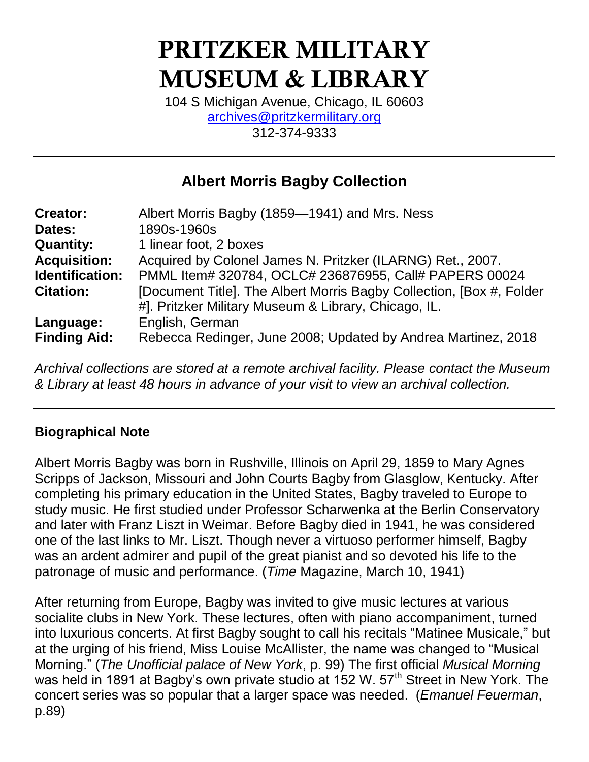# **PRITZKER MILITARY MUSEUM & LIBRARY**

104 S Michigan Avenue, Chicago, IL 60603 [archives@pritzkermilitary.org](mailto:archives@pritzkermilitary.org) 312-374-9333

# **Albert Morris Bagby Collection**

| <b>Creator:</b>     | Albert Morris Bagby (1859-1941) and Mrs. Ness                        |
|---------------------|----------------------------------------------------------------------|
| Dates:              | 1890s-1960s                                                          |
| <b>Quantity:</b>    | 1 linear foot, 2 boxes                                               |
| <b>Acquisition:</b> | Acquired by Colonel James N. Pritzker (ILARNG) Ret., 2007.           |
| Identification:     | PMML Item# 320784, OCLC# 236876955, Call# PAPERS 00024               |
| <b>Citation:</b>    | [Document Title]. The Albert Morris Bagby Collection, [Box #, Folder |
|                     | #]. Pritzker Military Museum & Library, Chicago, IL.                 |
| Language:           | English, German                                                      |
| <b>Finding Aid:</b> | Rebecca Redinger, June 2008; Updated by Andrea Martinez, 2018        |

*Archival collections are stored at a remote archival facility. Please contact the Museum & Library at least 48 hours in advance of your visit to view an archival collection.*

### **Biographical Note**

Albert Morris Bagby was born in Rushville, Illinois on April 29, 1859 to Mary Agnes Scripps of Jackson, Missouri and John Courts Bagby from Glasglow, Kentucky. After completing his primary education in the United States, Bagby traveled to Europe to study music. He first studied under Professor Scharwenka at the Berlin Conservatory and later with Franz Liszt in Weimar. Before Bagby died in 1941, he was considered one of the last links to Mr. Liszt. Though never a virtuoso performer himself, Bagby was an ardent admirer and pupil of the great pianist and so devoted his life to the patronage of music and performance. (*Time* Magazine, March 10, 1941)

After returning from Europe, Bagby was invited to give music lectures at various socialite clubs in New York. These lectures, often with piano accompaniment, turned into luxurious concerts. At first Bagby sought to call his recitals "Matinee Musicale," but at the urging of his friend, Miss Louise McAllister, the name was changed to "Musical Morning." (*The Unofficial palace of New York*, p. 99) The first official *Musical Morning* was held in 1891 at Bagby's own private studio at 152 W. 57<sup>th</sup> Street in New York. The concert series was so popular that a larger space was needed. (*Emanuel Feuerman*, p.89)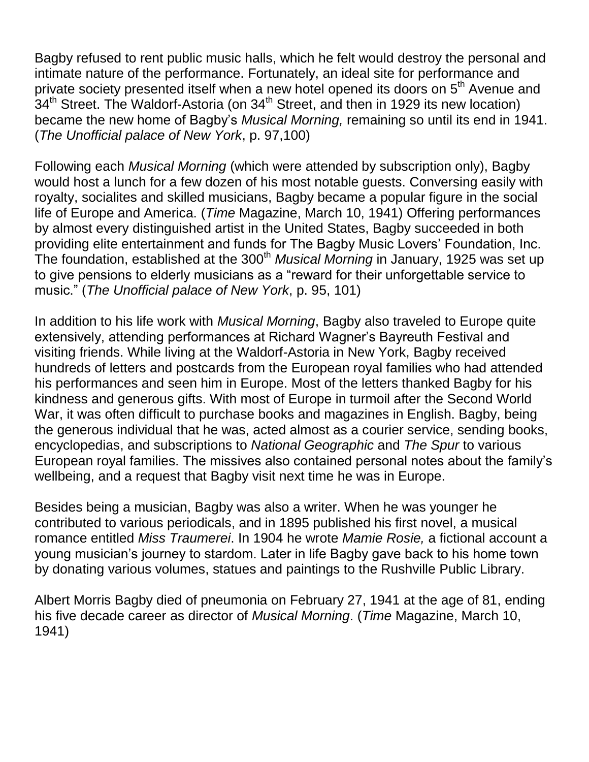Bagby refused to rent public music halls, which he felt would destroy the personal and intimate nature of the performance. Fortunately, an ideal site for performance and private society presented itself when a new hotel opened its doors on 5<sup>th</sup> Avenue and  $34<sup>th</sup>$  Street. The Waldorf-Astoria (on  $34<sup>th</sup>$  Street, and then in 1929 its new location) became the new home of Bagby's *Musical Morning,* remaining so until its end in 1941. (*The Unofficial palace of New York*, p. 97,100)

Following each *Musical Morning* (which were attended by subscription only), Bagby would host a lunch for a few dozen of his most notable guests. Conversing easily with royalty, socialites and skilled musicians, Bagby became a popular figure in the social life of Europe and America. (*Time* Magazine, March 10, 1941) Offering performances by almost every distinguished artist in the United States, Bagby succeeded in both providing elite entertainment and funds for The Bagby Music Lovers' Foundation, Inc. The foundation, established at the 300<sup>th</sup> Musical Morning in January, 1925 was set up to give pensions to elderly musicians as a "reward for their unforgettable service to music." (*The Unofficial palace of New York*, p. 95, 101)

In addition to his life work with *Musical Morning*, Bagby also traveled to Europe quite extensively, attending performances at Richard Wagner's Bayreuth Festival and visiting friends. While living at the Waldorf-Astoria in New York, Bagby received hundreds of letters and postcards from the European royal families who had attended his performances and seen him in Europe. Most of the letters thanked Bagby for his kindness and generous gifts. With most of Europe in turmoil after the Second World War, it was often difficult to purchase books and magazines in English. Bagby, being the generous individual that he was, acted almost as a courier service, sending books, encyclopedias, and subscriptions to *National Geographic* and *The Spur* to various European royal families. The missives also contained personal notes about the family's wellbeing, and a request that Bagby visit next time he was in Europe.

Besides being a musician, Bagby was also a writer. When he was younger he contributed to various periodicals, and in 1895 published his first novel, a musical romance entitled *Miss Traumerei*. In 1904 he wrote *Mamie Rosie,* a fictional account a young musician's journey to stardom. Later in life Bagby gave back to his home town by donating various volumes, statues and paintings to the Rushville Public Library.

Albert Morris Bagby died of pneumonia on February 27, 1941 at the age of 81, ending his five decade career as director of *Musical Morning*. (*Time* Magazine, March 10, 1941)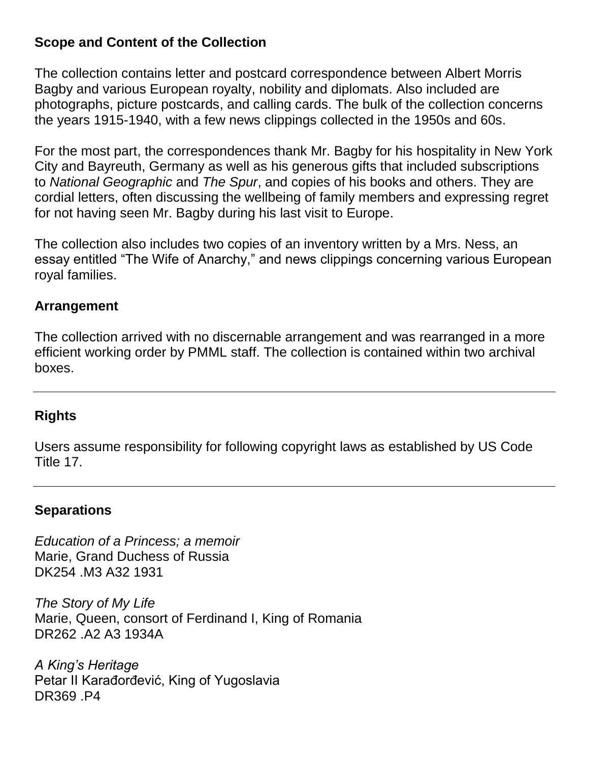#### **Scope and Content of the Collection**

The collection contains letter and postcard correspondence between Albert Morris Bagby and various European royalty, nobility and diplomats. Also included are photographs, picture postcards, and calling cards. The bulk of the collection concerns the years 1915-1940, with a few news clippings collected in the 1950s and 60s.

For the most part, the correspondences thank Mr. Bagby for his hospitality in New York City and Bayreuth, Germany as well as his generous gifts that included subscriptions to *National Geographic* and *The Spur*, and copies of his books and others. They are cordial letters, often discussing the wellbeing of family members and expressing regret for not having seen Mr. Bagby during his last visit to Europe.

The collection also includes two copies of an inventory written by a Mrs. Ness, an essay entitled "The Wife of Anarchy," and news clippings concerning various European royal families.

#### **Arrangement**

The collection arrived with no discernable arrangement and was rearranged in a more efficient working order by PMML staff. The collection is contained within two archival boxes.

#### **Rights**

Users assume responsibility for following copyright laws as established by US Code Title 17.

#### **Separations**

*Education of a Princess; a memoir* Marie, Grand Duchess of Russia DK254 .M3 A32 1931

*The Story of My Life* Marie, Queen, consort of Ferdinand I, King of Romania DR262 .A2 A3 1934A

*A King's Heritage* Petar II Karađorđević, King of Yugoslavia DR369 .P4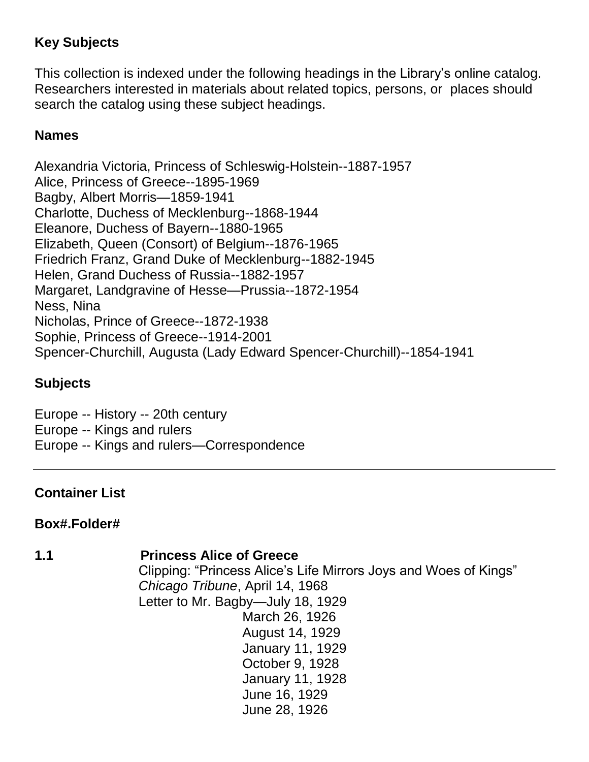# **Key Subjects**

This collection is indexed under the following headings in the Library's online catalog. Researchers interested in materials about related topics, persons, or places should search the catalog using these subject headings.

### **Names**

Alexandria Victoria, Princess of Schleswig-Holstein--1887-1957 Alice, Princess of Greece--1895-1969 Bagby, Albert Morris—1859-1941 Charlotte, Duchess of Mecklenburg--1868-1944 Eleanore, Duchess of Bayern--1880-1965 Elizabeth, Queen (Consort) of Belgium--1876-1965 Friedrich Franz, Grand Duke of Mecklenburg--1882-1945 Helen, Grand Duchess of Russia--1882-1957 Margaret, Landgravine of Hesse—Prussia--1872-1954 Ness, Nina Nicholas, Prince of Greece--1872-1938 Sophie, Princess of Greece--1914-2001 Spencer-Churchill, Augusta (Lady Edward Spencer-Churchill)--1854-1941

### **Subjects**

Europe -- History -- 20th century Europe -- Kings and rulers Europe -- Kings and rulers—Correspondence

### **Container List**

### **Box#.Folder#**

#### **1.1 Princess Alice of Greece**

Clipping: "Princess Alice's Life Mirrors Joys and Woes of Kings" *Chicago Tribune*, April 14, 1968 Letter to Mr. Bagby—July 18, 1929 March 26, 1926 August 14, 1929 January 11, 1929 October 9, 1928 January 11, 1928 June 16, 1929 June 28, 1926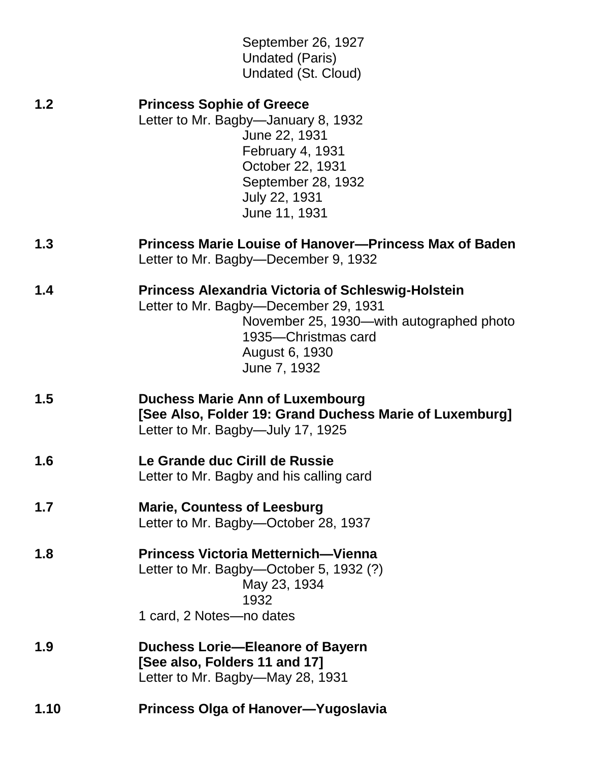| 1.10 | <b>Princess Olga of Hanover-Yugoslavia</b>                                                                                                                                                              |
|------|---------------------------------------------------------------------------------------------------------------------------------------------------------------------------------------------------------|
| 1.9  | Duchess Lorie-Eleanore of Bayern<br>[See also, Folders 11 and 17]<br>Letter to Mr. Bagby—May 28, 1931                                                                                                   |
| 1.8  | <b>Princess Victoria Metternich-Vienna</b><br>Letter to Mr. Bagby-October 5, 1932 (?)<br>May 23, 1934<br>1932<br>1 card, 2 Notes-no dates                                                               |
| 1.7  | <b>Marie, Countess of Leesburg</b><br>Letter to Mr. Bagby-October 28, 1937                                                                                                                              |
| 1.6  | Le Grande duc Cirill de Russie<br>Letter to Mr. Bagby and his calling card                                                                                                                              |
| 1.5  | <b>Duchess Marie Ann of Luxembourg</b><br>[See Also, Folder 19: Grand Duchess Marie of Luxemburg]<br>Letter to Mr. Bagby-July 17, 1925                                                                  |
| 1.4  | <b>Princess Alexandria Victoria of Schleswig-Holstein</b><br>Letter to Mr. Bagby-December 29, 1931<br>November 25, 1930—with autographed photo<br>1935-Christmas card<br>August 6, 1930<br>June 7, 1932 |
| 1.3  | Princess Marie Louise of Hanover--Princess Max of Baden<br>Letter to Mr. Bagby-December 9, 1932                                                                                                         |
| 1.2  | <b>Princess Sophie of Greece</b><br>Letter to Mr. Bagby-January 8, 1932<br>June 22, 1931<br><b>February 4, 1931</b><br>October 22, 1931<br>September 28, 1932<br>July 22, 1931<br>June 11, 1931         |
|      | September 26, 1927<br><b>Undated (Paris)</b><br>Undated (St. Cloud)                                                                                                                                     |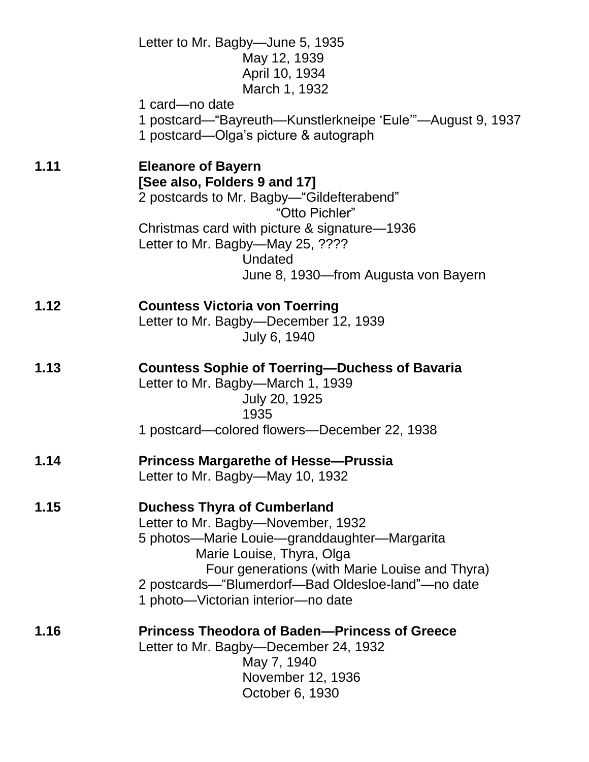|      | Letter to Mr. Bagby—June 5, 1935<br>May 12, 1939<br>April 10, 1934<br>March 1, 1932<br>1 card—no date<br>1 postcard—"Bayreuth—Kunstlerkneipe 'Eule'"—August 9, 1937<br>1 postcard—Olga's picture & autograph                                                                                        |
|------|-----------------------------------------------------------------------------------------------------------------------------------------------------------------------------------------------------------------------------------------------------------------------------------------------------|
| 1.11 | <b>Eleanore of Bayern</b><br>[See also, Folders 9 and 17]<br>2 postcards to Mr. Bagby—"Gildefterabend"<br>"Otto Pichler"<br>Christmas card with picture & signature-1936<br>Letter to Mr. Bagby-May 25, ????<br>Undated<br>June 8, 1930—from Augusta von Bayern                                     |
| 1.12 | <b>Countess Victoria von Toerring</b><br>Letter to Mr. Bagby-December 12, 1939<br>July 6, 1940                                                                                                                                                                                                      |
| 1.13 | <b>Countess Sophie of Toerring-Duchess of Bavaria</b><br>Letter to Mr. Bagby-March 1, 1939<br>July 20, 1925<br>1935<br>1 postcard—colored flowers—December 22, 1938                                                                                                                                 |
| 1.14 | <b>Princess Margarethe of Hesse-Prussia</b><br>Letter to Mr. Bagby—May 10, 1932                                                                                                                                                                                                                     |
| 1.15 | <b>Duchess Thyra of Cumberland</b><br>Letter to Mr. Bagby-November, 1932<br>5 photos—Marie Louie—granddaughter—Margarita<br>Marie Louise, Thyra, Olga<br>Four generations (with Marie Louise and Thyra)<br>2 postcards—"Blumerdorf—Bad Oldesloe-land"—no date<br>1 photo-Victorian interior-no date |
| 1.16 | <b>Princess Theodora of Baden-Princess of Greece</b><br>Letter to Mr. Bagby-December 24, 1932<br>May 7, 1940<br>November 12, 1936<br>October 6, 1930                                                                                                                                                |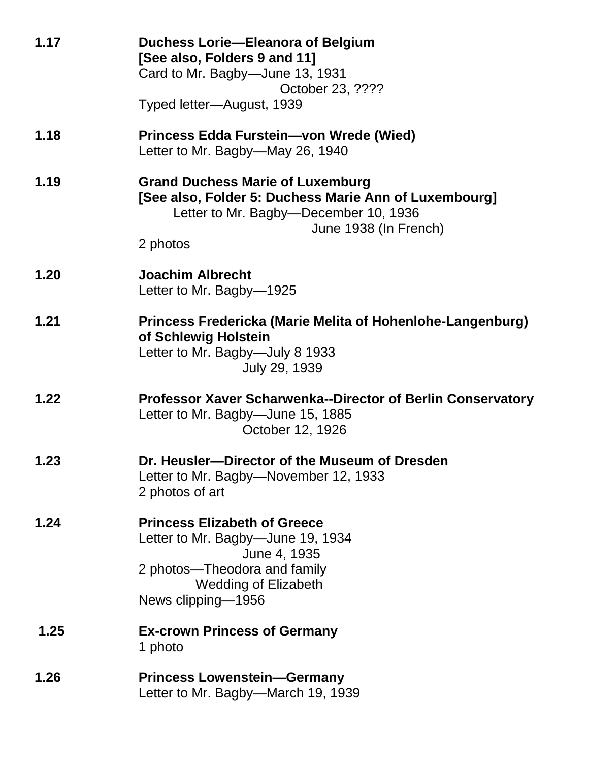| 1.17 | <b>Duchess Lorie-Eleanora of Belgium</b><br>[See also, Folders 9 and 11]<br>Card to Mr. Bagby-June 13, 1931<br>October 23, ????<br>Typed letter-August, 1939                   |
|------|--------------------------------------------------------------------------------------------------------------------------------------------------------------------------------|
| 1.18 | Princess Edda Furstein-von Wrede (Wied)<br>Letter to Mr. Bagby—May 26, 1940                                                                                                    |
| 1.19 | <b>Grand Duchess Marie of Luxemburg</b><br>[See also, Folder 5: Duchess Marie Ann of Luxembourg]<br>Letter to Mr. Bagby-December 10, 1936<br>June 1938 (In French)<br>2 photos |
| 1.20 | <b>Joachim Albrecht</b><br>Letter to Mr. Bagby-1925                                                                                                                            |
| 1.21 | Princess Fredericka (Marie Melita of Hohenlohe-Langenburg)<br>of Schlewig Holstein<br>Letter to Mr. Bagby-July 8 1933<br>July 29, 1939                                         |
| 1.22 | <b>Professor Xaver Scharwenka--Director of Berlin Conservatory</b><br>Letter to Mr. Bagby-June 15, 1885<br>October 12, 1926                                                    |
| 1.23 | Dr. Heusler-Director of the Museum of Dresden<br>Letter to Mr. Bagby-November 12, 1933<br>2 photos of art                                                                      |
| 1.24 | <b>Princess Elizabeth of Greece</b><br>Letter to Mr. Bagby—June 19, 1934<br>June 4, 1935<br>2 photos—Theodora and family<br><b>Wedding of Elizabeth</b><br>News clipping-1956  |
| 1.25 | <b>Ex-crown Princess of Germany</b><br>1 photo                                                                                                                                 |
| 1.26 | <b>Princess Lowenstein-Germany</b><br>Letter to Mr. Bagby—March 19, 1939                                                                                                       |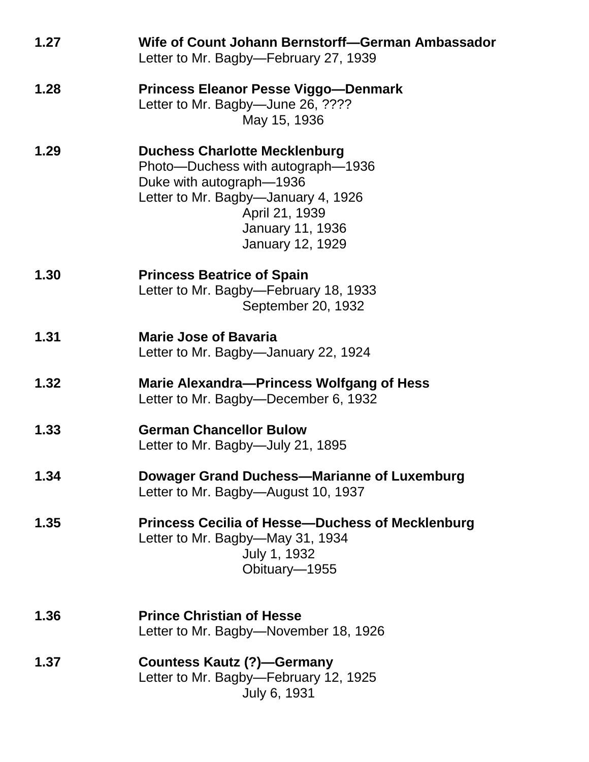| 1.27 | Wife of Count Johann Bernstorff-German Ambassador<br>Letter to Mr. Bagby—February 27, 1939                                                                                                                    |
|------|---------------------------------------------------------------------------------------------------------------------------------------------------------------------------------------------------------------|
| 1.28 | <b>Princess Eleanor Pesse Viggo-Denmark</b><br>Letter to Mr. Bagby-June 26, ????<br>May 15, 1936                                                                                                              |
| 1.29 | <b>Duchess Charlotte Mecklenburg</b><br>Photo—Duchess with autograph—1936<br>Duke with autograph-1936<br>Letter to Mr. Bagby-January 4, 1926<br>April 21, 1939<br>January 11, 1936<br><b>January 12, 1929</b> |
| 1.30 | <b>Princess Beatrice of Spain</b><br>Letter to Mr. Bagby-February 18, 1933<br>September 20, 1932                                                                                                              |
| 1.31 | <b>Marie Jose of Bavaria</b><br>Letter to Mr. Bagby—January 22, 1924                                                                                                                                          |
| 1.32 | Marie Alexandra-Princess Wolfgang of Hess<br>Letter to Mr. Bagby-December 6, 1932                                                                                                                             |
| 1.33 | <b>German Chancellor Bulow</b><br>Letter to Mr. Bagby—July 21, 1895                                                                                                                                           |
| 1.34 | Dowager Grand Duchess-Marianne of Luxemburg<br>Letter to Mr. Bagby-August 10, 1937                                                                                                                            |
| 1.35 | <b>Princess Cecilia of Hesse-Duchess of Mecklenburg</b><br>Letter to Mr. Bagby—May 31, 1934<br>July 1, 1932<br>Obituary-1955                                                                                  |
| 1.36 | <b>Prince Christian of Hesse</b><br>Letter to Mr. Bagby—November 18, 1926                                                                                                                                     |
| 1.37 | <b>Countess Kautz (?)-Germany</b><br>Letter to Mr. Bagby-February 12, 1925<br>July 6, 1931                                                                                                                    |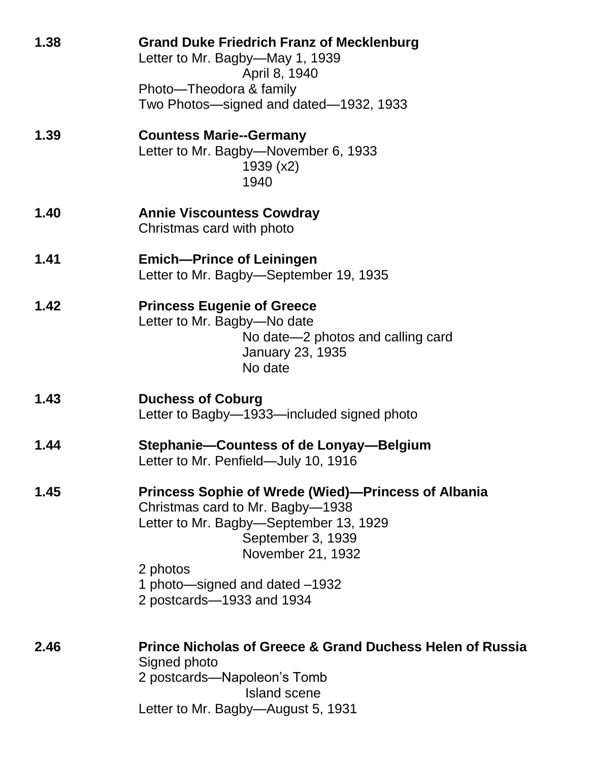| 1.38 | <b>Grand Duke Friedrich Franz of Mecklenburg</b><br>Letter to Mr. Bagby—May 1, 1939<br>April 8, 1940<br>Photo—Theodora & family<br>Two Photos—signed and dated—1932, 1933                                                                                     |
|------|---------------------------------------------------------------------------------------------------------------------------------------------------------------------------------------------------------------------------------------------------------------|
| 1.39 | <b>Countess Marie--Germany</b><br>Letter to Mr. Bagby-November 6, 1933<br>1939 (x2)<br>1940                                                                                                                                                                   |
| 1.40 | <b>Annie Viscountess Cowdray</b><br>Christmas card with photo                                                                                                                                                                                                 |
| 1.41 | <b>Emich-Prince of Leiningen</b><br>Letter to Mr. Bagby-September 19, 1935                                                                                                                                                                                    |
| 1.42 | <b>Princess Eugenie of Greece</b><br>Letter to Mr. Bagby-No date<br>No date-2 photos and calling card<br><b>January 23, 1935</b><br>No date                                                                                                                   |
| 1.43 | <b>Duchess of Coburg</b><br>Letter to Bagby-1933-included signed photo                                                                                                                                                                                        |
| 1.44 | Stephanie-Countess of de Lonyay-Belgium<br>Letter to Mr. Penfield—July 10, 1916                                                                                                                                                                               |
| 1.45 | <b>Princess Sophie of Wrede (Wied)—Princess of Albania</b><br>Christmas card to Mr. Bagby-1938<br>Letter to Mr. Bagby-September 13, 1929<br>September 3, 1939<br>November 21, 1932<br>2 photos<br>1 photo—signed and dated -1932<br>2 postcards-1933 and 1934 |
| 2.46 | <b>Prince Nicholas of Greece &amp; Grand Duchess Helen of Russia</b><br>Signed photo<br>2 postcards—Napoleon's Tomb<br>Island scene<br>Letter to Mr. Bagby-August 5, 1931                                                                                     |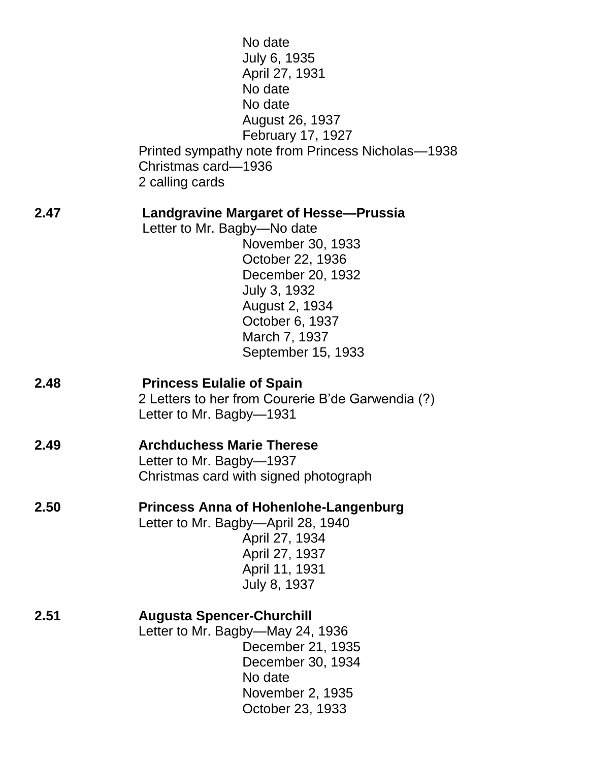|      | No date<br>July 6, 1935<br>April 27, 1931<br>No date<br>No date<br>August 26, 1937<br>February 17, 1927<br>Printed sympathy note from Princess Nicholas-1938<br>Christmas card-1936<br>2 calling cards                         |
|------|--------------------------------------------------------------------------------------------------------------------------------------------------------------------------------------------------------------------------------|
| 2.47 | Landgravine Margaret of Hesse—Prussia<br>Letter to Mr. Bagby-No date<br>November 30, 1933<br>October 22, 1936<br>December 20, 1932<br>July 3, 1932<br>August 2, 1934<br>October 6, 1937<br>March 7, 1937<br>September 15, 1933 |
| 2.48 | <b>Princess Eulalie of Spain</b><br>2 Letters to her from Courerie B'de Garwendia (?)<br>Letter to Mr. Bagby-1931                                                                                                              |
| 2.49 | <b>Archduchess Marie Therese</b><br>Letter to Mr. Bagby-1937<br>Christmas card with signed photograph                                                                                                                          |
| 2.50 | <b>Princess Anna of Hohenlohe-Langenburg</b><br>Letter to Mr. Bagby-April 28, 1940<br>April 27, 1934<br>April 27, 1937<br>April 11, 1931<br>July 8, 1937                                                                       |
| 2.51 | <b>Augusta Spencer-Churchill</b><br>Letter to Mr. Bagby—May 24, 1936<br>December 21, 1935<br>December 30, 1934<br>No date<br>November 2, 1935<br>October 23, 1933                                                              |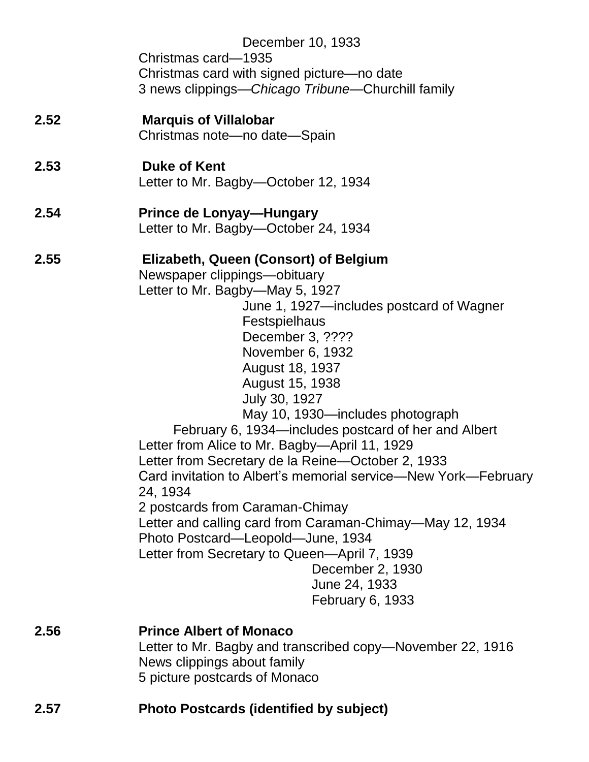| 2.57 | <b>Photo Postcards (identified by subject)</b>                                                                                                                                                                                                                                                                                                                                                                                                                                                                                                                                                                                                                                                                                  |
|------|---------------------------------------------------------------------------------------------------------------------------------------------------------------------------------------------------------------------------------------------------------------------------------------------------------------------------------------------------------------------------------------------------------------------------------------------------------------------------------------------------------------------------------------------------------------------------------------------------------------------------------------------------------------------------------------------------------------------------------|
| 2.56 | <b>Prince Albert of Monaco</b><br>Letter to Mr. Bagby and transcribed copy—November 22, 1916<br>News clippings about family<br>5 picture postcards of Monaco                                                                                                                                                                                                                                                                                                                                                                                                                                                                                                                                                                    |
|      | Letter to Mr. Bagby-May 5, 1927<br>June 1, 1927—includes postcard of Wagner<br>Festspielhaus<br>December 3, ????<br>November 6, 1932<br>August 18, 1937<br>August 15, 1938<br>July 30, 1927<br>May 10, 1930—includes photograph<br>February 6, 1934—includes postcard of her and Albert<br>Letter from Alice to Mr. Bagby-April 11, 1929<br>Letter from Secretary de la Reine—October 2, 1933<br>Card invitation to Albert's memorial service—New York—February<br>24, 1934<br>2 postcards from Caraman-Chimay<br>Letter and calling card from Caraman-Chimay—May 12, 1934<br>Photo Postcard-Leopold-June, 1934<br>Letter from Secretary to Queen-April 7, 1939<br>December 2, 1930<br>June 24, 1933<br><b>February 6, 1933</b> |
| 2.55 | Elizabeth, Queen (Consort) of Belgium<br>Newspaper clippings-obituary                                                                                                                                                                                                                                                                                                                                                                                                                                                                                                                                                                                                                                                           |
| 2.54 | <b>Prince de Lonyay-Hungary</b><br>Letter to Mr. Bagby-October 24, 1934                                                                                                                                                                                                                                                                                                                                                                                                                                                                                                                                                                                                                                                         |
| 2.53 | <b>Duke of Kent</b><br>Letter to Mr. Bagby-October 12, 1934                                                                                                                                                                                                                                                                                                                                                                                                                                                                                                                                                                                                                                                                     |
| 2.52 | <b>Marquis of Villalobar</b><br>Christmas note-no date-Spain                                                                                                                                                                                                                                                                                                                                                                                                                                                                                                                                                                                                                                                                    |
|      | December 10, 1933<br>Christmas card-1935<br>Christmas card with signed picture—no date<br>3 news clippings—Chicago Tribune—Churchill family                                                                                                                                                                                                                                                                                                                                                                                                                                                                                                                                                                                     |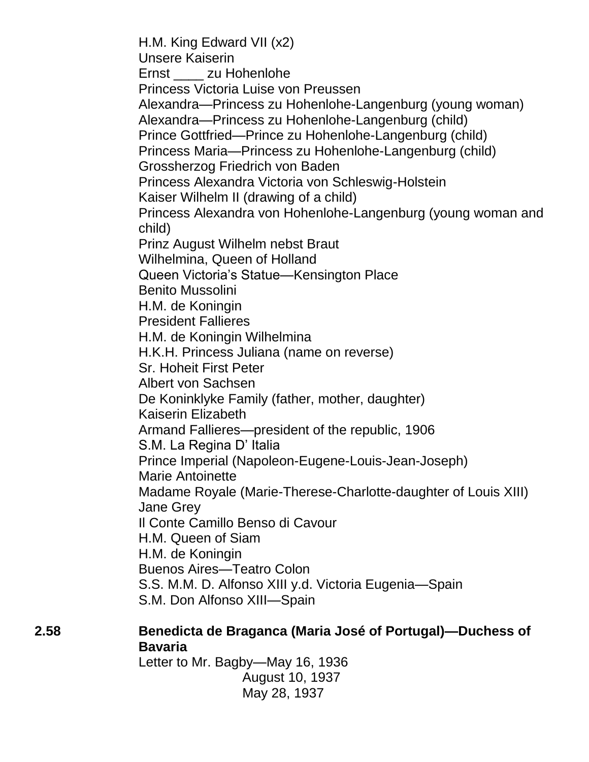H.M. King Edward VII (x2) Unsere Kaiserin Ernst \_\_\_\_ zu Hohenlohe Princess Victoria Luise von Preussen Alexandra—Princess zu Hohenlohe-Langenburg (young woman) Alexandra—Princess zu Hohenlohe-Langenburg (child) Prince Gottfried—Prince zu Hohenlohe-Langenburg (child) Princess Maria—Princess zu Hohenlohe-Langenburg (child) Grossherzog Friedrich von Baden Princess Alexandra Victoria von Schleswig-Holstein Kaiser Wilhelm II (drawing of a child) Princess Alexandra von Hohenlohe-Langenburg (young woman and child) Prinz August Wilhelm nebst Braut Wilhelmina, Queen of Holland Queen Victoria's Statue—Kensington Place Benito Mussolini H.M. de Koningin President Fallieres H.M. de Koningin Wilhelmina H.K.H. Princess Juliana (name on reverse) Sr. Hoheit First Peter Albert von Sachsen De Koninklyke Family (father, mother, daughter) Kaiserin Elizabeth Armand Fallieres—president of the republic, 1906 S.M. La Regina D' Italia Prince Imperial (Napoleon-Eugene-Louis-Jean-Joseph) Marie Antoinette Madame Royale (Marie-Therese-Charlotte-daughter of Louis XIII) Jane Grey Il Conte Camillo Benso di Cavour H.M. Queen of Siam H.M. de Koningin Buenos Aires—Teatro Colon S.S. M.M. D. Alfonso XIII y.d. Victoria Eugenia—Spain S.M. Don Alfonso XIII—Spain

## **2.58 Benedicta de Braganca (Maria José of Portugal)—Duchess of Bavaria**

Letter to Mr. Bagby—May 16, 1936 August 10, 1937 May 28, 1937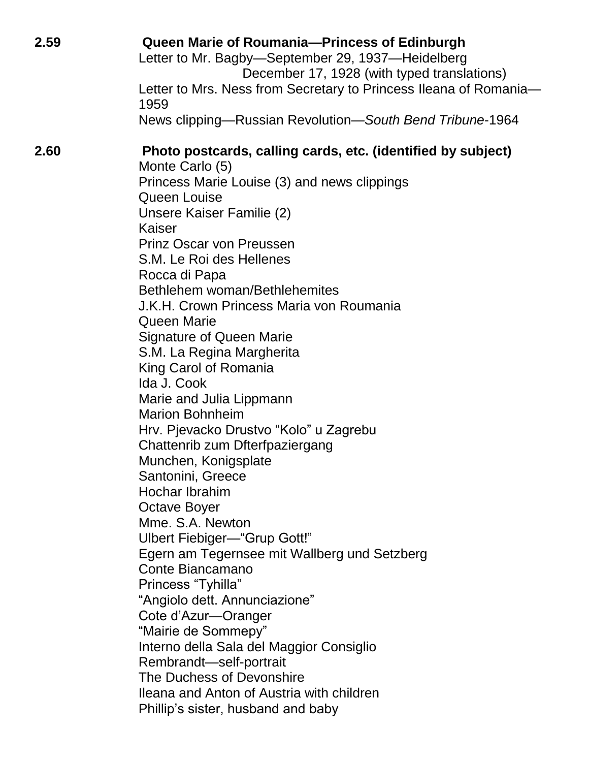| 2.59 | Queen Marie of Roumania-Princess of Edinburgh<br>Letter to Mr. Bagby-September 29, 1937-Heidelberg<br>December 17, 1928 (with typed translations)<br>Letter to Mrs. Ness from Secretary to Princess Ileana of Romania-<br>1959<br>News clipping—Russian Revolution—South Bend Tribune-1964                                                                                                                                                                                                                                                                                                                                                                                                                                                                                                                                                                                                                |
|------|-----------------------------------------------------------------------------------------------------------------------------------------------------------------------------------------------------------------------------------------------------------------------------------------------------------------------------------------------------------------------------------------------------------------------------------------------------------------------------------------------------------------------------------------------------------------------------------------------------------------------------------------------------------------------------------------------------------------------------------------------------------------------------------------------------------------------------------------------------------------------------------------------------------|
| 2.60 | Photo postcards, calling cards, etc. (identified by subject)<br>Monte Carlo (5)<br>Princess Marie Louise (3) and news clippings<br>Queen Louise<br>Unsere Kaiser Familie (2)<br>Kaiser<br><b>Prinz Oscar von Preussen</b><br>S.M. Le Roi des Hellenes<br>Rocca di Papa<br>Bethlehem woman/Bethlehemites<br>J.K.H. Crown Princess Maria von Roumania<br>Queen Marie<br><b>Signature of Queen Marie</b><br>S.M. La Regina Margherita<br>King Carol of Romania<br>Ida J. Cook<br>Marie and Julia Lippmann<br><b>Marion Bohnheim</b><br>Hrv. Pjevacko Drustvo "Kolo" u Zagrebu<br>Chattenrib zum Dfterfpaziergang<br>Munchen, Konigsplate<br>Santonini, Greece<br>Hochar Ibrahim<br><b>Octave Boyer</b><br>Mme. S.A. Newton<br>Ulbert Fiebiger-"Grup Gott!"<br>Egern am Tegernsee mit Wallberg und Setzberg<br>Conte Biancamano<br>Princess "Tyhilla"<br>"Angiolo dett. Annunciazione"<br>Cote d'Azur-Oranger |
|      | "Mairie de Sommepy"<br>Interno della Sala del Maggior Consiglio<br>Rembrandt-self-portrait<br>The Duchess of Devonshire<br>Ileana and Anton of Austria with children<br>Phillip's sister, husband and baby                                                                                                                                                                                                                                                                                                                                                                                                                                                                                                                                                                                                                                                                                                |